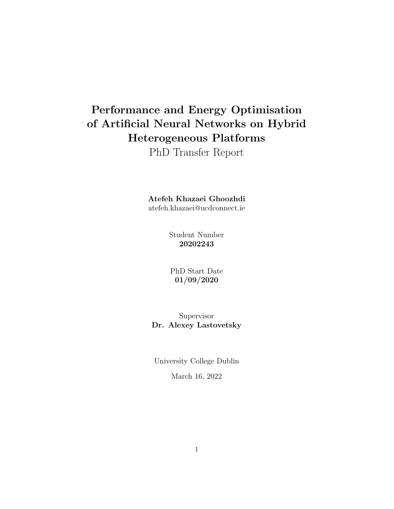# Performance and Energy Optimisation of Artificial Neural Networks on Hybrid Heterogeneous Platforms

PhD Transfer Report

Atefeh Khazaei Ghoozhdi

atefeh.khazaei@ucdconnect.ie

Student Number 20202243

PhD Start Date 01/09/2020

Supervisor Dr. Alexey Lastovetsky

University College Dublin

March 16, 2022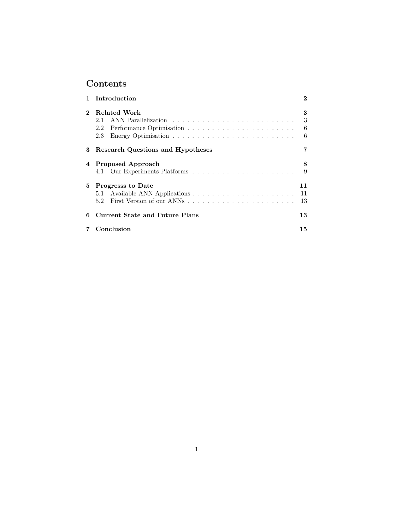# Contents

| $\mathbf{1}$ | Introduction                      | $\bf{2}$         |
|--------------|-----------------------------------|------------------|
|              | Related Work<br>2.1<br>2.2<br>2.3 | 3<br>3<br>6<br>6 |
| 3            | Research Questions and Hypotheses |                  |
| 4            | <b>Proposed Approach</b>          | 8<br>9           |
| 5.           | Progresss to Date                 | 11<br>11<br>13   |
| 6            | Current State and Future Plans    | 13               |
|              | Conclusion                        | 15               |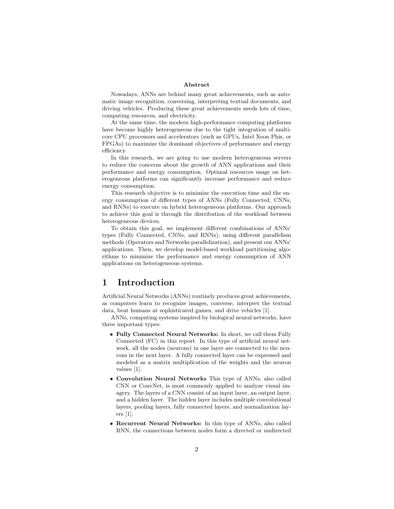#### Abstract

Nowadays, ANNs are behind many great achievements, such as automatic image recognition, conversing, interpreting textual documents, and driving vehicles. Producing these great achievements needs lots of time, computing resources, and electricity.

At the same time, the modern high-performance computing platforms have become highly heterogeneous due to the tight integration of multicore CPU processors and accelerators (such as GPUs, Intel Xeon Phis, or FPGAs) to maximize the dominant objectives of performance and energy efficiency.

In this research, we are going to use modern heterogeneous servers to reduce the concerns about the growth of ANN applications and their performance and energy consumption. Optimal resources usage on heterogeneous platforms can significantly increase performance and reduce energy consumption.

This research objective is to minimize the execution time and the energy consumption of different types of ANNs (Fully Connected, CNNs, and RNNs) to execute on hybrid heterogeneous platforms. Our approach to achieve this goal is through the distribution of the workload between heterogeneous devices.

To obtain this goal, we implement different combinations of ANNs' types (Fully Connected, CNNs, and RNNs), using different parallelism methods (Operators and Networks parallelization), and present our ANNs' applications. Then, we develop model-based workload partitioning algorithms to minimize the performance and energy consumption of ANN applications on heterogeneous systems.

## 1 Introduction

Artificial Neural Networks (ANNs) routinely produces great achievements, as computers learn to recognize images, converse, interpret the textual data, beat humans at sophisticated games, and drive vehicles [1].

ANNs, computing systems inspired by biological neural networks, have three important types:

- Fully Connected Neural Networks: In short, we call them Fully Connected (FC) in this report. In this type of artificial neural network, all the nodes (neurons) in one layer are connected to the neurons in the next layer. A fully connected layer can be expressed and modeled as a matrix multiplication of the weights and the neuron values [1].
- Convolution Neural Networks This type of ANNs, also called CNN or ConvNet, is most commonly applied to analyze visual imagery. The layers of a CNN consist of an input layer, an output layer, and a hidden layer. The hidden layer includes multiple convolutional layers, pooling layers, fully connected layers, and normalization layers [1].
- Recurrent Neural Networks: In this type of ANNs, also called RNN, the connections between nodes form a directed or undirected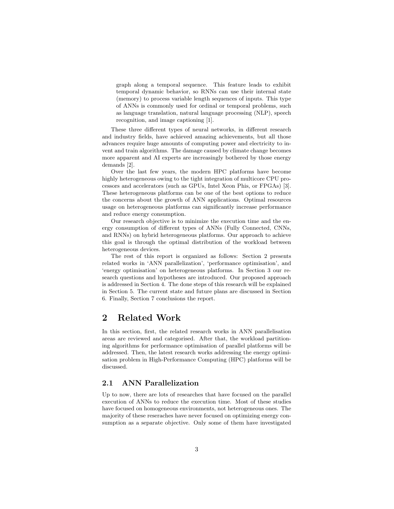graph along a temporal sequence. This feature leads to exhibit temporal dynamic behavior, so RNNs can use their internal state (memory) to process variable length sequences of inputs. This type of ANNs is commonly used for ordinal or temporal problems, such as language translation, natural language processing (NLP), speech recognition, and image captioning [1].

These three different types of neural networks, in different research and industry fields, have achieved amazing achievements, but all those advances require huge amounts of computing power and electricity to invent and train algorithms. The damage caused by climate change becomes more apparent and AI experts are increasingly bothered by those energy demands [2].

Over the last few years, the modern HPC platforms have become highly heterogeneous owing to the tight integration of multicore CPU processors and accelerators (such as GPUs, Intel Xeon Phis, or FPGAs) [3]. These heterogeneous platforms can be one of the best options to reduce the concerns about the growth of ANN applications. Optimal resources usage on heterogeneous platforms can significantly increase performance and reduce energy consumption.

Our research objective is to minimize the execution time and the energy consumption of different types of ANNs (Fully Connected, CNNs, and RNNs) on hybrid heterogeneous platforms. Our approach to achieve this goal is through the optimal distribution of the workload between heterogeneous devices.

The rest of this report is organized as follows: Section 2 presents related works in 'ANN parallelization', 'performance optimisation', and 'energy optimisation' on heterogeneous platforms. In Section 3 our research questions and hypotheses are introduced. Our proposed approach is addressed in Section 4. The done steps of this research will be explained in Section 5. The current state and future plans are discussed in Section 6. Finally, Section 7 conclusions the report.

## 2 Related Work

In this section, first, the related research works in ANN parallelisation areas are reviewed and categorised. After that, the workload partitioning algorithms for performance optimisation of parallel platforms will be addressed. Then, the latest research works addressing the energy optimisation problem in High-Performance Computing (HPC) platforms will be discussed.

#### 2.1 ANN Parallelization

Up to now, there are lots of researches that have focused on the parallel execution of ANNs to reduce the execution time. Most of these studies have focused on homogeneous environments, not heterogeneous ones. The majority of these reseraches have never focused on optimizing energy consumption as a separate objective. Only some of them have investigated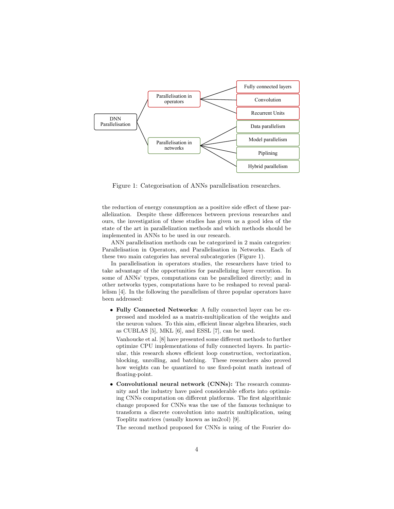

Figure 1: Categorisation of ANNs parallelisation researches.

the reduction of energy consumption as a positive side effect of these parallelization. Despite these differences between previous researches and ours, the investigation of these studies has given us a good idea of the state of the art in parallelization methods and which methods should be implemented in ANNs to be used in our research.

ANN parallelisation methods can be categorized in 2 main categories: Parallelisation in Operators, and Parallelisation in Networks. Each of these two main categories has several subcategories (Figure 1).

In parallelisation in operators studies, the researchers have tried to take advantage of the opportunities for parallelizing layer execution. In some of ANNs' types, computations can be parallelized directly; and in other networks types, computations have to be reshaped to reveal parallelism [4]. In the following the parallelism of three popular operators have been addressed:

• Fully Connected Networks: A fully connected layer can be expressed and modeled as a matrix-multiplication of the weights and the neuron values. To this aim, efficient linear algebra libraries, such as CUBLAS [5], MKL [6], and ESSL [7], can be used.

Vanhoucke et al. [8] have presented some different methods to further optimize CPU implementations of fully connected layers. In particular, this research shows efficient loop construction, vectorization, blocking, unrolling, and batching. These researchers also proved how weights can be quantized to use fixed-point math instead of floating-point.

• Convolutional neural network (CNNs): The research community and the industry have paied considerable efforts into optimizing CNNs computation on different platforms. The first algorithmic change proposed for CNNs was the use of the famous technique to transform a discrete convolution into matrix multiplication, using Toeplitz matrices (usually known as im2col) [9].

The second method proposed for CNNs is using of the Fourier do-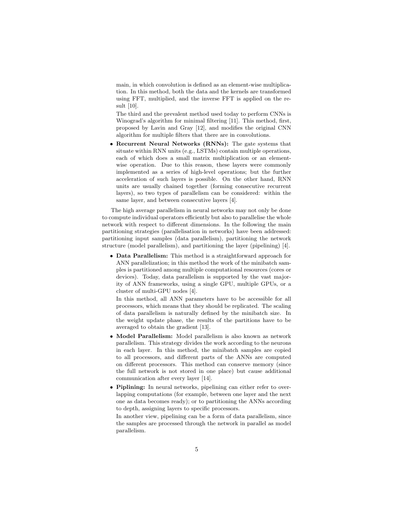main, in which convolution is defined as an element-wise multiplication. In this method, both the data and the kernels are transformed using FFT, multiplied, and the inverse FFT is applied on the result [10].

The third and the prevalent method used today to perform CNNs is Winograd's algorithm for minimal filtering [11]. This method, first, proposed by Lavin and Gray [12], and modifies the original CNN algorithm for multiple filters that there are in convolutions.

• Recurrent Neural Networks (RNNs): The gate systems that situate within RNN units (e.g., LSTMs) contain multiple operations, each of which does a small matrix multiplication or an elementwise operation. Due to this reason, these layers were commonly implemented as a series of high-level operations; but the further acceleration of such layers is possible. On the other hand, RNN units are usually chained together (forming consecutive recurrent layers), so two types of parallelism can be considered: within the same layer, and between consecutive layers [4].

The high average parallelism in neural networks may not only be done to compute individual operators efficiently but also to parallelise the whole network with respect to different dimensions. In the following the main partitioning strategies (parallelisation in networks) have been addressed: partitioning input samples (data parallelism), partitioning the network structure (model parallelism), and partitioning the layer (pipelining) [4].

• Data Parallelism: This method is a straightforward approach for ANN parallelization; in this method the work of the minibatch samples is partitioned among multiple computational resources (cores or devices). Today, data parallelism is supported by the vast majority of ANN frameworks, using a single GPU, multiple GPUs, or a cluster of multi-GPU nodes [4].

In this method, all ANN parameters have to be accessible for all processors, which means that they should be replicated. The scaling of data parallelism is naturally defined by the minibatch size. In the weight update phase, the results of the partitions have to be averaged to obtain the gradient [13].

- Model Parallelism: Model parallelism is also known as network parallelism. This strategy divides the work according to the neurons in each layer. In this method, the minibatch samples are copied to all processors, and different parts of the ANNs are computed on different processors. This method can conserve memory (since the full network is not stored in one place) but cause additional communication after every layer [14].
- Piplining: In neural networks, pipelining can either refer to overlapping computations (for example, between one layer and the next one as data becomes ready); or to partitioning the ANNs according to depth, assigning layers to specific processors.

In another view, pipelining can be a form of data parallelism, since the samples are processed through the network in parallel as model parallelism.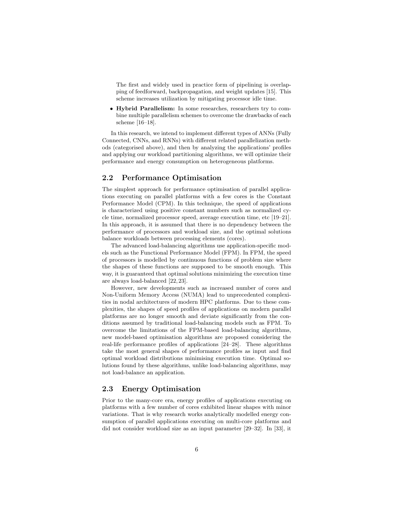The first and widely used in practice form of pipelining is overlapping of feedforward, backpropagation, and weight updates [15]. This scheme increases utilization by mitigating processor idle time.

• Hybrid Parallelism: In some researches, researchers try to combine multiple parallelism schemes to overcome the drawbacks of each scheme [16–18].

In this research, we intend to implement different types of ANNs (Fully Connected, CNNs, and RNNs) with different related parallelization methods (categorised above), and then by analyzing the applications' profiles and applying our workload partitioning algorithms, we will optimize their performance and energy consumption on heterogeneous platforms.

#### 2.2 Performance Optimisation

The simplest approach for performance optimisation of parallel applications executing on parallel platforms with a few cores is the Constant Performance Model (CPM). In this technique, the speed of applications is characterized using positive constant numbers such as normalized cycle time, normalized processor speed, average execution time, etc [19–21]. In this approach, it is assumed that there is no dependency between the performance of processors and workload size, and the optimal solutions balance workloads between processing elements (cores).

The advanced load-balancing algorithms use application-specific models such as the Functional Performance Model (FPM). In FPM, the speed of processors is modelled by continuous functions of problem size where the shapes of these functions are supposed to be smooth enough. This way, it is guaranteed that optimal solutions minimizing the execution time are always load-balanced [22, 23].

However, new developments such as increased number of cores and Non-Uniform Memory Access (NUMA) lead to unprecedented complexities in nodal architectures of modern HPC platforms. Due to these complexities, the shapes of speed profiles of applications on modern parallel platforms are no longer smooth and deviate significantly from the conditions assumed by traditional load-balancing models such as FPM. To overcome the limitations of the FPM-based load-balancing algorithms, new model-based optimisation algorithms are proposed considering the real-life performance profiles of applications [24–28]. These algorithms take the most general shapes of performance profiles as input and find optimal workload distributions minimising execution time. Optimal solutions found by these algorithms, unlike load-balancing algorithms, may not load-balance an application.

#### 2.3 Energy Optimisation

Prior to the many-core era, energy profiles of applications executing on platforms with a few number of cores exhibited linear shapes with minor variations. That is why research works analytically modelled energy consumption of parallel applications executing on multi-core platforms and did not consider workload size as an input parameter [29–32]. In [33], it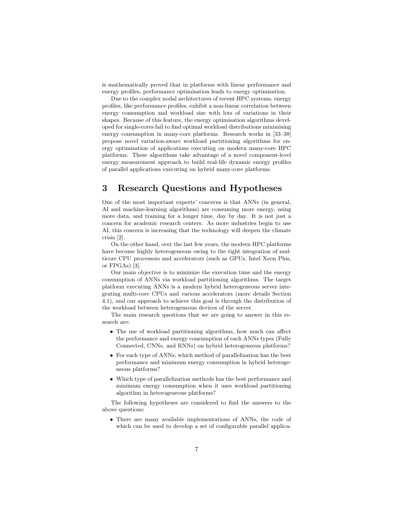is mathematically proved that in platforms with linear performance and energy profiles, performance optimisation leads to energy optimisation.

Due to the complex nodal architectures of recent HPC systems, energy profiles, like performance profiles, exhibit a non-linear correlation between energy consumption and workload size with lots of variations in their shapes. Because of this feature, the energy optimisation algorithms developed for single-cores fail to find optimal workload distributions minimising energy consumption in many-core platforms. Research works in [33–38] propose novel variation-aware workload partitioning algorithms for energy optimisation of applications executing on modern many-core HPC platforms. These algorithms take advantage of a novel component-level energy measurement approach to build real-life dynamic energy profiles of parallel applications executing on hybrid many-core platforms.

# 3 Research Questions and Hypotheses

One of the most important experts' concerns is that ANNs (in general, AI and machine-learning algorithms) are consuming more energy, using more data, and training for a longer time, day by day. It is not just a concern for academic research centers. As more industries begin to use AI, this concern is increasing that the technology will deepen the climate crisis [2].

On the other hand, over the last few years, the modern HPC platforms have become highly heterogeneous owing to the tight integration of multicore CPU processors and accelerators (such as GPUs, Intel Xeon Phis, or FPGAs) [3].

Our main objective is to minimize the execution time and the energy consumption of ANNs via workload partitioning algorithms. The target platform executing ANNs is a modern hybrid heterogeneous server integrating multi-core CPUs and various accelerators (more details Section 4.1), and our approach to achieve this goal is through the distribution of the workload between heterogeneous devices of the server.

The main research questions that we are going to answer in this research are:

- The use of workload partitioning algorithms, how much can affect the performance and energy consumption of each ANNs types (Fully Connected, CNNs, and RNNs) on hybrid heterogeneous platforms?
- For each type of ANNs, which method of parallelization has the best performance and minimum energy consumption in hybrid heterogeneous platforms?
- Which type of parallelization methods has the best performance and minimum energy consumption when it uses workload partitioning algorithm in heterogeneous platforms?

The following hypotheses are considered to find the answers to the above questions:

• There are many available implementations of ANNs, the code of which can be used to develop a set of configurable parallel applica-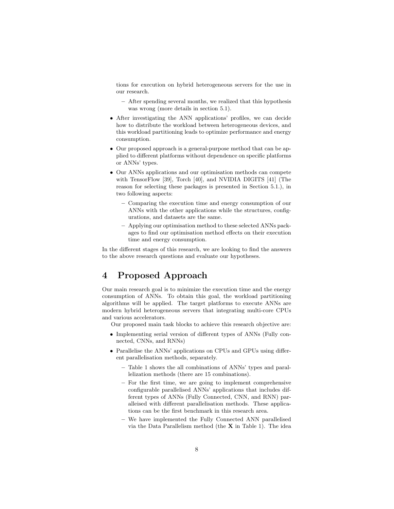tions for execution on hybrid heterogeneous servers for the use in our research.

- After spending several months, we realized that this hypothesis was wrong (more details in section 5.1).
- After investigating the ANN applications' profiles, we can decide how to distribute the workload between heterogeneous devices, and this workload partitioning leads to optimize performance and energy consumption.
- Our proposed approach is a general-purpose method that can be applied to different platforms without dependence on specific platforms or ANNs' types.
- Our ANNs applications and our optimisation methods can compete with TensorFlow [39], Torch [40], and NVIDIA DIGITS [41] (The reason for selecting these packages is presented in Section 5.1.), in two following aspects:
	- Comparing the execution time and energy consumption of our ANNs with the other applications while the structures, configurations, and datasets are the same.
	- Applying our optimisation method to these selected ANNs packages to find our optimisation method effects on their execution time and energy consumption.

In the different stages of this research, we are looking to find the answers to the above research questions and evaluate our hypotheses.

# 4 Proposed Approach

Our main research goal is to minimize the execution time and the energy consumption of ANNs. To obtain this goal, the workload partitioning algorithms will be applied. The target platforms to execute ANNs are modern hybrid heterogeneous servers that integrating multi-core CPUs and various accelerators.

Our proposed main task blocks to achieve this research objective are:

- Implementing serial version of different types of ANNs (Fully connected, CNNs, and RNNs)
- Parallelise the ANNs' applications on CPUs and GPUs using different parallelisation methods, separately.
	- Table 1 shows the all combinations of ANNs' types and parallelization methods (there are 15 combinations).
	- For the first time, we are going to implement comprehensive configurable parallelised ANNs' applications that includes different types of ANNs (Fully Connected, CNN, and RNN) paralleised with different parallelisation methods. These applications can be the first benchmark in this research area.
	- We have implemented the Fully Connected ANN parallelised via the Data Parallelism method (the X in Table 1). The idea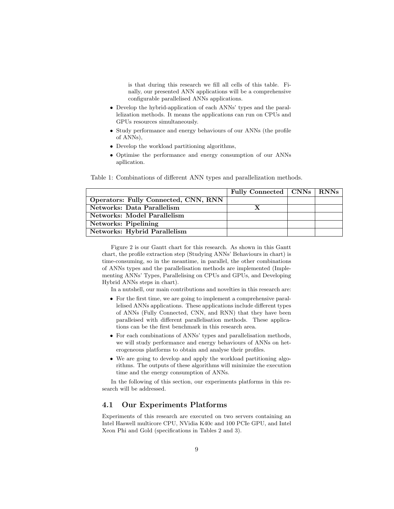is that during this research we fill all cells of this table. Finally, our presented ANN applications will be a comprehensive configurable parallelised ANNs applications.

- Develop the hybrid-application of each ANNs' types and the parallelization methods. It means the applications can run on CPUs and GPUs resources simultaneously.
- Study performance and energy behaviours of our ANNs (the profile of ANNs),
- Develop the workload partitioning algorithms,
- Optimise the performance and energy consumption of our ANNs apllication.

Table 1: Combinations of different ANN types and parallelization methods.

|                                      | Fully Connected   CNNs   RNNs |  |
|--------------------------------------|-------------------------------|--|
| Operators: Fully Connected, CNN, RNN |                               |  |
| Networks: Data Parallelism           |                               |  |
| Networks: Model Parallelism          |                               |  |
| Networks: Pipelining                 |                               |  |
| <b>Networks: Hybrid Parallelism</b>  |                               |  |

Figure 2 is our Gantt chart for this research. As shown in this Gantt chart, the profile extraction step (Studying ANNs' Behaviours in chart) is time-consuming, so in the meantime, in parallel, the other combinations of ANNs types and the parallelisation methods are implemented (Implementing ANNs' Types, Parallelising on CPUs and GPUs, and Developing Hybrid ANNs steps in chart).

In a nutshell, our main contributions and novelties in this research are:

- For the first time, we are going to implement a comprehensive parallelised ANNs applications. These applications include different types of ANNs (Fully Connected, CNN, and RNN) that they have been paralleised with different parallelisation methods. These applications can be the first benchmark in this research area.
- For each combinations of ANNs' types and parallelisation methods, we will study performance and energy behaviours of ANNs on heterogeneous platforms to obtain and analyse their profiles.
- We are going to develop and apply the workload partitioning algorithms. The outputs of these algorithms will minimize the execution time and the energy consumption of ANNs.

In the following of this section, our experiments platforms in this research will be addressed.

#### 4.1 Our Experiments Platforms

Experiments of this research are executed on two servers containing an Intel Haswell multicore CPU, NVidia K40c and 100 PCIe GPU, and Intel Xeon Phi and Gold (specifications in Tables 2 and 3).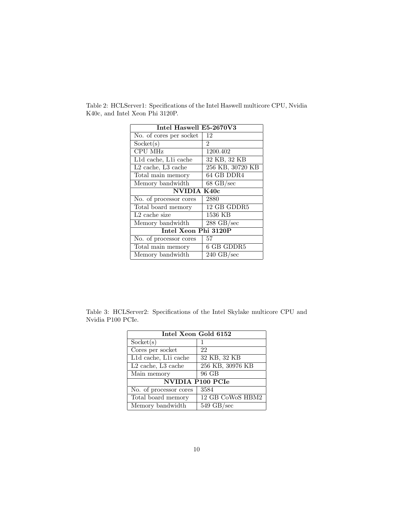| Intel Haswell E5-2670V3   |                      |  |  |  |  |
|---------------------------|----------------------|--|--|--|--|
| No. of cores per socket   | 12                   |  |  |  |  |
| Sockets(s)                | $\overline{2}$       |  |  |  |  |
| <b>CPU MHz</b>            | 1200.402             |  |  |  |  |
| L1d cache, L1i cache      | 32 KB, 32 KB         |  |  |  |  |
| $L2$ cache, $L3$ cache    | 256 KB, 30720 KB     |  |  |  |  |
| Total main memory         | 64 GB DDR4           |  |  |  |  |
| Memory bandwidth          | $68 \text{ GB/sec}$  |  |  |  |  |
| NVIDIA K40c               |                      |  |  |  |  |
| No. of processor cores    | 2880                 |  |  |  |  |
| Total board memory        | 12 GB GDDR5          |  |  |  |  |
| L <sub>2</sub> cache size | 1536 KB              |  |  |  |  |
| Memory bandwidth          | $288 \text{ GB/sec}$ |  |  |  |  |
| Intel Xeon Phi 3120P      |                      |  |  |  |  |
| No. of processor cores    | 57                   |  |  |  |  |
| Total main memory         | 6 GB GDDR5           |  |  |  |  |
| Memory bandwidth          | $240 \text{ GB/sec}$ |  |  |  |  |

Table 2: HCLServer1: Specifications of the Intel Haswell multicore CPU, Nvidia K40c, and Intel Xeon Phi 3120P.

Table 3: HCLServer2: Specifications of the Intel Skylake multicore CPU and Nvidia P100 PCIe.

| Intel Xeon Gold 6152    |                      |  |  |  |  |
|-------------------------|----------------------|--|--|--|--|
| Sockets(s)              | 1                    |  |  |  |  |
| Cores per socket        | 22                   |  |  |  |  |
| L1d cache, L1i cache    | 32 KB, 32 KB         |  |  |  |  |
| $L2$ cache, $L3$ cache  | 256 KB, 30976 KB     |  |  |  |  |
| Main memory             | 96 GB                |  |  |  |  |
| <b>NVIDIA P100 PCIe</b> |                      |  |  |  |  |
| No. of processor cores  | 3584                 |  |  |  |  |
| Total board memory      | 12 GB CoWoS HBM2     |  |  |  |  |
| Memory bandwidth        | $549 \text{ GB/sec}$ |  |  |  |  |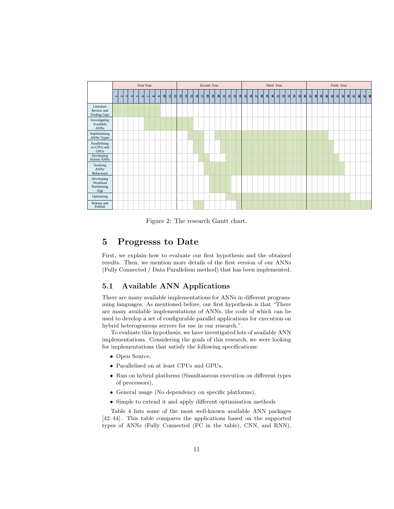

Figure 2: The research Gantt chart.

#### 5 Progresss to Date

First, we explain how to evaluate our first hypothesis and the obtained results. Then, we mention more details of the first version of our ANNs (Fully Connected / Data Parallelism method) that has been implemented.

#### 5.1 Available ANN Applications

There are many available implementations for ANNs in different programming languages. As mentioned before, our first hypothesis is that "There are many available implementations of ANNs, the code of which can be used to develop a set of configurable parallel applications for execution on hybrid heterogeneous servers for use in our research.".

To evaluate this hypothesis, we have investigated lots of available ANN implementations. Considering the goals of this research, we were looking for implementations that satisfy the following specifications:

- Open Source,
- Parallelised on at least CPUs and GPUs,
- Run on hybrid platforms (Simultaneous execution on different types of processors),
- General usage (No dependency on specific platforms),
- Simple to extend it and apply different optimisation methods

Table 4 lists some of the most well-known available ANN packages [42–44]. This table compares the applications based on the supported types of ANNs (Fully Connected (FC in the table), CNN, and RNN),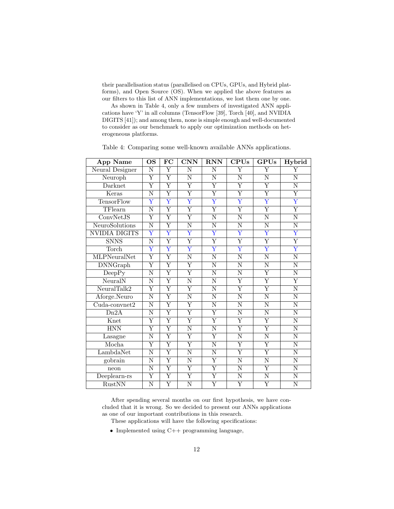their parallelisation status (parallelised on CPUs, GPUs, and Hybrid platforms), and Open Source (OS). When we applied the above features as our filters to this list of ANN implementations, we lost them one by one.

As shown in Table 4, only a few numbers of investigated ANN applications have 'Y' in all columns (TensorFlow [39], Torch [40], and NVIDIA DIGITS [41]); and among them, none is simple enough and well-documented to consider as our benchmark to apply our optimization methods on heterogeneous platforms.

| <b>App Name</b>      | $\overline{\text{OS}}$  | FC                      | <b>CNN</b>              | <b>RNN</b>              | <b>CPUs</b>             | <b>GPUs</b>             | Hybrid                  |
|----------------------|-------------------------|-------------------------|-------------------------|-------------------------|-------------------------|-------------------------|-------------------------|
| Neural Designer      | $\overline{\text{N}}$   | Υ                       | $\overline{\text{N}}$   | N                       | $\overline{\text{Y}}$   | $\overline{\text{Y}}$   | $\overline{\text{Y}}$   |
| Neuroph              | $\overline{\mathrm{Y}}$ | $\overline{\mathrm{Y}}$ | $\overline{\text{N}}$   | $\overline{\text{N}}$   | $\overline{\text{N}}$   | $\overline{\text{N}}$   | $\overline{\text{N}}$   |
| Darknet              | $\overline{\mathrm{Y}}$ | $\overline{\mathrm{Y}}$ | $\overline{\mathrm{Y}}$ | $\overline{\mathrm{Y}}$ | $\overline{\mathrm{Y}}$ | $\overline{\mathrm{Y}}$ | $\overline{\text{N}}$   |
| Keras                | N                       | $\overline{\mathrm{Y}}$ | $\overline{\mathrm{Y}}$ | $\overline{\mathrm{Y}}$ | $\overline{\text{Y}}$   | $\overline{\mathrm{Y}}$ | $\overline{\mathrm{Y}}$ |
| <b>TensorFlow</b>    | $\overline{\mathrm{Y}}$ | $\overline{\mathrm{Y}}$ | $\overline{\text{Y}}$   | $\overline{\text{Y}}$   | $\overline{\text{Y}}$   | $\overline{\text{Y}}$   | $\overline{\mathrm{Y}}$ |
| TFlearn              | N                       | $\overline{\mathrm{Y}}$ | $\overline{\mathrm{Y}}$ | $\overline{\mathrm{Y}}$ | $\overline{\mathrm{Y}}$ | $\overline{\mathrm{Y}}$ | $\overline{\mathrm{Y}}$ |
| ConvNetJS            | $\overline{\mathrm{Y}}$ | $\overline{\mathrm{Y}}$ | $\overline{\mathrm{Y}}$ | N                       | $\overline{\text{N}}$   | N                       | $\overline{\text{N}}$   |
| NeuroSolutions       | $\overline{\text{N}}$   | $\overline{\mathrm{Y}}$ | $\overline{\text{N}}$   | $\overline{\rm N}$      | $\overline{\text{N}}$   | $\overline{\text{N}}$   | $\overline{\rm N}$      |
| <b>NVIDIA DIGITS</b> | $\overline{\text{Y}}$   | $\overline{\text{Y}}$   | $\overline{\text{Y}}$   | $\overline{\text{Y}}$   | $\overline{\text{Y}}$   | $\overline{\mathrm{Y}}$ | $\overline{\mathrm{Y}}$ |
| <b>SNNS</b>          | $\overline{\text{N}}$   | $\overline{\mathrm{Y}}$ | $\overline{\mathrm{Y}}$ | $\overline{\mathrm{Y}}$ | $\overline{\mathrm{Y}}$ | $\overline{\mathrm{Y}}$ | $\overline{\mathrm{Y}}$ |
| Torch                | $\overline{\mathrm{Y}}$ | $\overline{\mathrm{Y}}$ | $\overline{\mathrm{Y}}$ | $\overline{\mathrm{Y}}$ | $\overline{\mathrm{Y}}$ | $\overline{\mathrm{Y}}$ | $\overline{\mathrm{Y}}$ |
| <b>MLPNeuralNet</b>  | $\overline{\mathrm{Y}}$ | $\overline{\mathrm{Y}}$ | $\overline{\text{N}}$   | $\overline{\text{N}}$   | $\overline{\text{N}}$   | $\overline{\text{N}}$   | $\overline{\text{N}}$   |
| <b>DNNGraph</b>      | $\overline{\mathrm{Y}}$ | $\overline{\mathrm{Y}}$ | Y                       | N                       | N                       | $\overline{N}$          | $\overline{\text{N}}$   |
| DeepPy               | N                       | $\overline{\mathrm{Y}}$ | $\overline{\mathrm{Y}}$ | N                       | $\overline{\text{N}}$   | $\overline{\mathrm{Y}}$ | $\overline{\rm N}$      |
| NeuralN              | $\overline{\rm N}$      | $\overline{\mathrm{Y}}$ | $\overline{\text{N}}$   | $\overline{\rm N}$      | $\overline{\mathrm{Y}}$ | $\overline{\mathrm{Y}}$ | $\overline{\mathrm{Y}}$ |
| NeuralTalk2          | $\overline{\mathrm{Y}}$ | $\overline{\mathrm{Y}}$ | $\overline{\mathrm{Y}}$ | $\overline{\text{N}}$   | $\overline{\mathrm{Y}}$ | $\overline{\mathrm{Y}}$ | $\overline{\text{N}}$   |
| Aforge.Neuro         | $\overline{\text{N}}$   | $\overline{\mathrm{Y}}$ | $\overline{\text{N}}$   | N                       | $\overline{\text{N}}$   | $\overline{\text{N}}$   | $\overline{\text{N}}$   |
| $Cuda$ -convnet2     | $\overline{\text{N}}$   | $\overline{\text{Y}}$   | $\overline{\mathrm{Y}}$ | $\overline{\text{N}}$   | $\overline{\text{N}}$   | N                       | $\overline{\text{N}}$   |
| Dn2A                 | $\overline{\text{N}}$   | $\overline{\mathrm{Y}}$ | $\overline{\text{Y}}$   | $\overline{\mathrm{Y}}$ | $\overline{\text{N}}$   | $\overline{\text{N}}$   | $\overline{\text{N}}$   |
| Knet                 | $\overline{\mathrm{Y}}$ | $\overline{\mathrm{Y}}$ | $\overline{\mathrm{Y}}$ | $\overline{\mathrm{Y}}$ | $\overline{\mathrm{Y}}$ | $\overline{\mathrm{Y}}$ | $\overline{\text{N}}$   |
| <b>HNN</b>           | Υ                       | $\overline{\mathrm{Y}}$ | $\overline{\text{N}}$   | N                       | $\overline{\text{Y}}$   | $\overline{\mathrm{Y}}$ | $\overline{\text{N}}$   |
| Lasagne              | $\overline{\text{N}}$   | $\overline{\mathrm{Y}}$ | $\overline{\mathrm{Y}}$ | $\overline{\mathrm{Y}}$ | $\overline{\text{N}}$   | $\overline{\text{N}}$   | $\overline{\text{N}}$   |
| Mocha                | $\overline{\mathrm{Y}}$ | $\overline{\mathrm{Y}}$ | $\overline{\mathrm{Y}}$ | $\overline{\text{N}}$   | $\overline{\mathrm{Y}}$ | $\overline{\mathrm{Y}}$ | $\overline{\text{N}}$   |
| LambdaNet            | $\overline{\text{N}}$   | $\overline{\mathrm{Y}}$ | $\overline{\text{N}}$   | $\overline{\text{N}}$   | $\overline{\mathrm{Y}}$ | $\overline{\mathrm{Y}}$ | $\overline{\text{N}}$   |
| gobrain              | N                       | $\overline{\mathrm{Y}}$ | $\overline{\text{N}}$   | $\overline{\mathrm{Y}}$ | N                       | $\overline{\text{N}}$   | $\overline{\rm N}$      |
| neon                 | $\overline{\rm N}$      | $\overline{\mathrm{Y}}$ | $\overline{\mathrm{Y}}$ | $\overline{\mathrm{Y}}$ | N                       | $\overline{\mathrm{Y}}$ | $\overline{\text{N}}$   |
| Deeplearn-rs         | $\overline{\mathrm{Y}}$ | $\overline{\mathrm{Y}}$ | $\overline{\mathrm{Y}}$ | $\overline{\mathrm{Y}}$ | $\overline{\text{N}}$   | $\overline{\rm N}$      | $\overline{\text{N}}$   |
| RustNN               | N                       | $\overline{\mathrm{Y}}$ | $\overline{\rm N}$      | $\overline{Y}$          | $\overline{\mathrm{Y}}$ | $\overline{Y}$          | N                       |

Table 4: Comparing some well-known available ANNs applications.

After spending several months on our first hypothesis, we have concluded that it is wrong. So we decided to present our ANNs applications as one of our important contributions in this research.

- These applications will have the following specifications:
- Implemented using C++ programming language,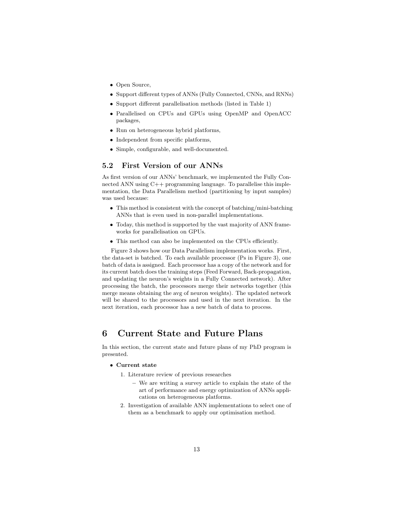- Open Source,
- Support different types of ANNs (Fully Connected, CNNs, and RNNs)
- Support different parallelisation methods (listed in Table 1)
- Parallelised on CPUs and GPUs using OpenMP and OpenACC packages,
- Run on heterogeneous hybrid platforms,
- Independent from specific platforms,
- Simple, configurable, and well-documented.

#### 5.2 First Version of our ANNs

As first version of our ANNs' benchmark, we implemented the Fully Connected ANN using C++ programming language. To parallelise this implementation, the Data Parallelism method (partitioning by input samples) was used because:

- This method is consistent with the concept of batching/mini-batching ANNs that is even used in non-parallel implementations.
- Today, this method is supported by the vast majority of ANN frameworks for parallelisation on GPUs.
- This method can also be implemented on the CPUs efficiently.

Figure 3 shows how our Data Parallelism implementation works. First, the data-set is batched. To each available processor (Ps in Figure 3), one batch of data is assigned. Each processor has a copy of the network and for its current batch does the training steps (Feed Forward, Back-propagation, and updating the neuron's weights in a Fully Connected network). After processing the batch, the processors merge their networks together (this merge means obtaining the avg of neuron weights). The updated network will be shared to the processors and used in the next iteration. In the next iteration, each processor has a new batch of data to process.

### 6 Current State and Future Plans

In this section, the current state and future plans of my PhD program is presented.

- Current state
	- 1. Literature review of previous researches
		- We are writing a survey article to explain the state of the art of performance and energy optimization of ANNs applications on heterogeneous platforms.
	- 2. Investigation of available ANN implementations to select one of them as a benchmark to apply our optimisation method.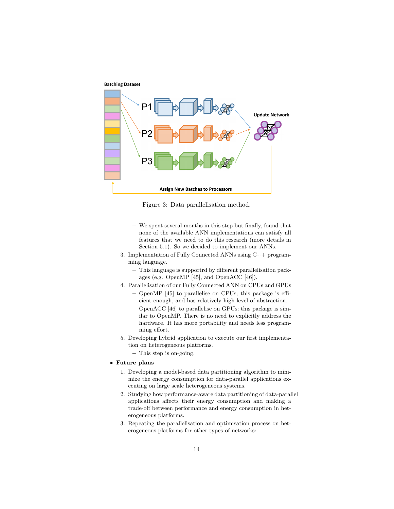

Figure 3: Data parallelisation method.

- We spent several months in this step but finally, found that none of the available ANN implementations can satisfy all features that we need to do this research (more details in Section 5.1). So we decided to implement our ANNs.
- 3. Implementation of Fully Connected ANNs using C++ programming language.
	- This language is supportrd by different parallelisation packages (e.g. OpenMP [45], and OpenACC [46]).
- 4. Parallelisation of our Fully Connected ANN on CPUs and GPUs
	- OpenMP [45] to parallelise on CPUs; this package is efficient enough, and has relatively high level of abstraction.
	- OpenACC [46] to parallelise on GPUs; this package is similar to OpenMP. There is no need to explicitly address the hardware. It has more portability and needs less programming effort.
- 5. Developing hybrid application to execute our first implementation on heterogeneous platforms.
	- This step is on-going.
- Future plans
	- 1. Developing a model-based data partitioning algorithm to minimize the energy consumption for data-parallel applications executing on large scale heterogeneous systems.
	- 2. Studying how performance-aware data partitioning of data-parallel applications affects their energy consumption and making a trade-off between performance and energy consumption in heterogeneous platforms.
	- 3. Repeating the parallelisation and optimisation process on heterogeneous platforms for other types of networks: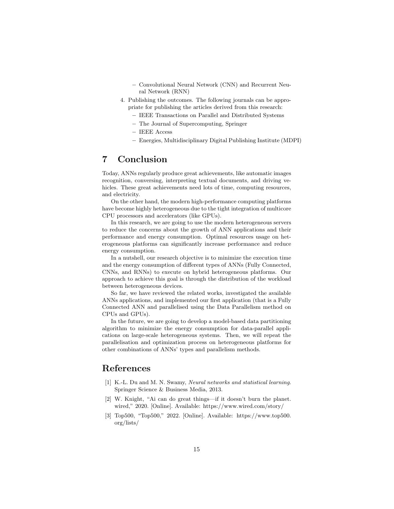- Convolutional Neural Network (CNN) and Recurrent Neural Network (RNN)
- 4. Publishing the outcomes. The following journals can be appropriate for publishing the articles derived from this research:
	- IEEE Transactions on Parallel and Distributed Systems
	- The Journal of Supercomputing, Springer
	- IEEE Access
	- Energies, Multidisciplinary Digital Publishing Institute (MDPI)

# 7 Conclusion

Today, ANNs regularly produce great achievements, like automatic images recognition, conversing, interpreting textual documents, and driving vehicles. These great achievements need lots of time, computing resources, and electricity.

On the other hand, the modern high-performance computing platforms have become highly heterogeneous due to the tight integration of multicore CPU processors and accelerators (like GPUs).

In this research, we are going to use the modern heterogeneous servers to reduce the concerns about the growth of ANN applications and their performance and energy consumption. Optimal resources usage on heterogeneous platforms can significantly increase performance and reduce energy consumption.

In a nutshell, our research objective is to minimize the execution time and the energy consumption of different types of ANNs (Fully Connected, CNNs, and RNNs) to execute on hybrid heterogeneous platforms. Our approach to achieve this goal is through the distribution of the workload between heterogeneous devices.

So far, we have reviewed the related works, investigated the available ANNs applications, and implemented our first application (that is a Fully Connected ANN and parallelised using the Data Parallelism method on CPUs and GPUs).

In the future, we are going to develop a model-based data partitioning algorithm to minimize the energy consumption for data-parallel applications on large-scale heterogeneous systems. Then, we will repeat the parallelisation and optimization process on heterogeneous platforms for other combinations of ANNs' types and parallelism methods.

## References

- [1] K.-L. Du and M. N. Swamy, *Neural networks and statistical learning*. Springer Science & Business Media, 2013.
- [2] W. Knight, "Ai can do great things—if it doesn't burn the planet. wired," 2020. [Online]. Available: https://www.wired.com/story/
- [3] Top500, "Top500," 2022. [Online]. Available: https://www.top500. org/lists/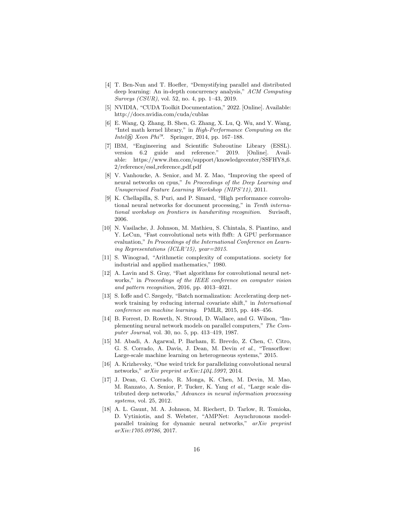- [4] T. Ben-Nun and T. Hoefler, "Demystifying parallel and distributed deep learning: An in-depth concurrency analysis," ACM Computing Surveys (CSUR), vol. 52, no. 4, pp. 1–43, 2019.
- [5] NVIDIA, "CUDA Toolkit Documentation," 2022. [Online]. Available: http://docs.nvidia.com/cuda/cublas
- [6] E. Wang, Q. Zhang, B. Shen, G. Zhang, X. Lu, Q. Wu, and Y. Wang, "Intel math kernel library," in High-Performance Computing on the Intel® Xeon Phi<sup>™</sup>. Springer, 2014, pp. 167-188.
- [7] IBM, "Engineering and Scientific Subroutine Library (ESSL). version 6.2 guide and reference." 2019. [Online]. Available: https://www.ibm.com/support/knowledgecenter/SSFHY8 6. 2/reference/essl reference pdf.pdf
- [8] V. Vanhoucke, A. Senior, and M. Z. Mao, "Improving the speed of neural networks on cpus," In Proceedings of the Deep Learning and Unsupervised Feature Learning Workshop (NIPS'11), 2011.
- [9] K. Chellapilla, S. Puri, and P. Simard, "High performance convolutional neural networks for document processing," in Tenth international workshop on frontiers in handwriting recognition. Suvisoft, 2006.
- [10] N. Vasilache, J. Johnson, M. Mathieu, S. Chintala, S. Piantino, and Y. LeCun, "Fast convolutional nets with fbfft: A GPU performance evaluation," In Proceedings of the International Conference on Learning Representations (ICLR'15), year=2015.
- [11] S. Winograd, "Arithmetic complexity of computations. society for industrial and applied mathematics," 1980.
- [12] A. Lavin and S. Gray, "Fast algorithms for convolutional neural networks," in Proceedings of the IEEE conference on computer vision and pattern recognition, 2016, pp. 4013–4021.
- [13] S. Ioffe and C. Szegedy, "Batch normalization: Accelerating deep network training by reducing internal covariate shift," in *International* conference on machine learning. PMLR, 2015, pp. 448–456.
- [14] B. Forrest, D. Roweth, N. Stroud, D. Wallace, and G. Wilson, "Implementing neural network models on parallel computers," The Computer Journal, vol. 30, no. 5, pp. 413–419, 1987.
- [15] M. Abadi, A. Agarwal, P. Barham, E. Brevdo, Z. Chen, C. Citro, G. S. Corrado, A. Davis, J. Dean, M. Devin et al., "Tensorflow: Large-scale machine learning on heterogeneous systems," 2015.
- [16] A. Krizhevsky, "One weird trick for parallelizing convolutional neural networks," arXiv preprint arXiv:1404.5997, 2014.
- [17] J. Dean, G. Corrado, R. Monga, K. Chen, M. Devin, M. Mao, M. Ranzato, A. Senior, P. Tucker, K. Yang et al., "Large scale distributed deep networks," Advances in neural information processing systems, vol. 25, 2012.
- [18] A. L. Gaunt, M. A. Johnson, M. Riechert, D. Tarlow, R. Tomioka, D. Vytiniotis, and S. Webster, "AMPNet: Asynchronous modelparallel training for dynamic neural networks," arXiv preprint arXiv:1705.09786, 2017.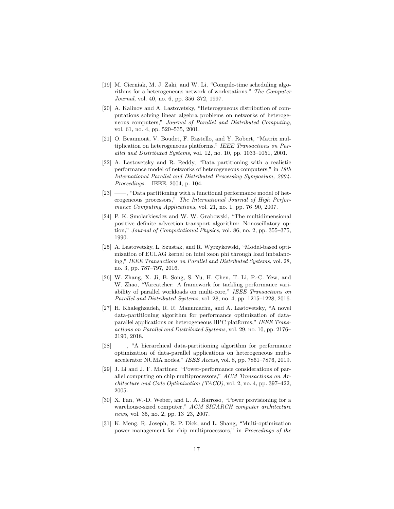- [19] M. Cierniak, M. J. Zaki, and W. Li, "Compile-time scheduling algorithms for a heterogeneous network of workstations," The Computer Journal, vol. 40, no. 6, pp. 356–372, 1997.
- [20] A. Kalinov and A. Lastovetsky, "Heterogeneous distribution of computations solving linear algebra problems on networks of heterogeneous computers," Journal of Parallel and Distributed Computing, vol. 61, no. 4, pp. 520–535, 2001.
- [21] O. Beaumont, V. Boudet, F. Rastello, and Y. Robert, "Matrix multiplication on heterogeneous platforms," IEEE Transactions on Parallel and Distributed Systems, vol. 12, no. 10, pp. 1033–1051, 2001.
- [22] A. Lastovetsky and R. Reddy, "Data partitioning with a realistic performance model of networks of heterogeneous computers," in 18th International Parallel and Distributed Processing Symposium, 2004. Proceedings. IEEE, 2004, p. 104.
- [23] ——, "Data partitioning with a functional performance model of heterogeneous processors," The International Journal of High Performance Computing Applications, vol. 21, no. 1, pp. 76–90, 2007.
- [24] P. K. Smolarkiewicz and W. W. Grabowski, "The multidimensional positive definite advection transport algorithm: Nonoscillatory option," Journal of Computational Physics, vol. 86, no. 2, pp. 355–375, 1990.
- [25] A. Lastovetsky, L. Szustak, and R. Wyrzykowski, "Model-based optimization of EULAG kernel on intel xeon phi through load imbalancing," IEEE Transactions on Parallel and Distributed Systems, vol. 28, no. 3, pp. 787–797, 2016.
- [26] W. Zhang, X. Ji, B. Song, S. Yu, H. Chen, T. Li, P.-C. Yew, and W. Zhao, "Varcatcher: A framework for tackling performance variability of parallel workloads on multi-core," IEEE Transactions on Parallel and Distributed Systems, vol. 28, no. 4, pp. 1215–1228, 2016.
- [27] H. Khaleghzadeh, R. R. Manumachu, and A. Lastovetsky, "A novel data-partitioning algorithm for performance optimization of dataparallel applications on heterogeneous HPC platforms," IEEE Transactions on Parallel and Distributed Systems, vol. 29, no. 10, pp. 2176– 2190, 2018.
- [28] ——, "A hierarchical data-partitioning algorithm for performance optimization of data-parallel applications on heterogeneous multiaccelerator NUMA nodes," IEEE Access, vol. 8, pp. 7861–7876, 2019.
- [29] J. Li and J. F. Martinez, "Power-performance considerations of parallel computing on chip multiprocessors," ACM Transactions on Architecture and Code Optimization (TACO), vol. 2, no. 4, pp. 397–422, 2005.
- [30] X. Fan, W.-D. Weber, and L. A. Barroso, "Power provisioning for a warehouse-sized computer," ACM SIGARCH computer architecture news, vol. 35, no. 2, pp. 13–23, 2007.
- [31] K. Meng, R. Joseph, R. P. Dick, and L. Shang, "Multi-optimization power management for chip multiprocessors," in Proceedings of the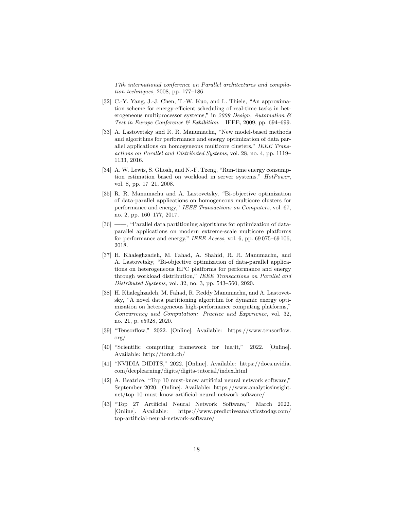17th international conference on Parallel architectures and compilation techniques, 2008, pp. 177–186.

- [32] C.-Y. Yang, J.-J. Chen, T.-W. Kuo, and L. Thiele, "An approximation scheme for energy-efficient scheduling of real-time tasks in heterogeneous multiprocessor systems," in 2009 Design, Automation & Test in Europe Conference & Exhibition. IEEE, 2009, pp. 694–699.
- [33] A. Lastovetsky and R. R. Manumachu, "New model-based methods and algorithms for performance and energy optimization of data parallel applications on homogeneous multicore clusters," IEEE Transactions on Parallel and Distributed Systems, vol. 28, no. 4, pp. 1119– 1133, 2016.
- [34] A. W. Lewis, S. Ghosh, and N.-F. Tzeng, "Run-time energy consumption estimation based on workload in server systems." HotPower, vol. 8, pp. 17–21, 2008.
- [35] R. R. Manumachu and A. Lastovetsky, "Bi-objective optimization of data-parallel applications on homogeneous multicore clusters for performance and energy," IEEE Transactions on Computers, vol. 67, no. 2, pp. 160–177, 2017.
- [36] ——, "Parallel data partitioning algorithms for optimization of dataparallel applications on modern extreme-scale multicore platforms for performance and energy," IEEE Access, vol. 6, pp. 69 075–69 106, 2018.
- [37] H. Khaleghzadeh, M. Fahad, A. Shahid, R. R. Manumachu, and A. Lastovetsky, "Bi-objective optimization of data-parallel applications on heterogeneous HPC platforms for performance and energy through workload distribution," IEEE Transactions on Parallel and Distributed Systems, vol. 32, no. 3, pp. 543–560, 2020.
- [38] H. Khaleghzadeh, M. Fahad, R. Reddy Manumachu, and A. Lastovetsky, "A novel data partitioning algorithm for dynamic energy optimization on heterogeneous high-performance computing platforms," Concurrency and Computation: Practice and Experience, vol. 32, no. 21, p. e5928, 2020.
- [39] "Tensorflow," 2022. [Online]. Available: https://www.tensorflow. org/
- [40] "Scientific computing framework for luajit," 2022. [Online]. Available: http://torch.ch/
- [41] "NVIDIA DIDITS," 2022. [Online]. Available: https://docs.nvidia. com/deeplearning/digits/digits-tutorial/index.html
- [42] A. Beatrice, "Top 10 must-know artificial neural network software," September 2020. [Online]. Available: https://www.analyticsinsight. net/top-10-must-know-artificial-neural-network-software/
- [43] "Top 27 Artificial Neural Network Software," March 2022. [Online]. Available: https://www.predictiveanalyticstoday.com/ top-artificial-neural-network-software/